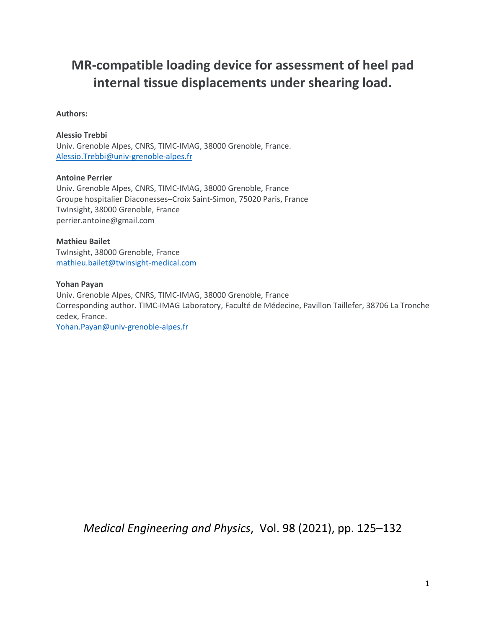# **MR-compatible loading device for assessment of heel pad internal tissue displacements under shearing load.**

#### **Authors:**

#### **Alessio Trebbi**

Univ. Grenoble Alpes, CNRS, TIMC-IMAG, 38000 Grenoble, France. [Alessio.Trebbi@univ-grenoble-alpes.fr](mailto:Alessio.Trebbi@univ-grenoble-alpes.fr)

#### **Antoine Perrier**

Univ. Grenoble Alpes, CNRS, TIMC-IMAG, 38000 Grenoble, France Groupe hospitalier Diaconesses–Croix Saint-Simon, 75020 Paris, France TwInsight, 38000 Grenoble, France perrier.antoine@gmail.com

**Mathieu Bailet** TwInsight, 38000 Grenoble, France [mathieu.bailet@twinsight-medical.com](mailto:mathieu.bailet@twinsight-medical.com)

#### **Yohan Payan**

Univ. Grenoble Alpes, CNRS, TIMC-IMAG, 38000 Grenoble, France Corresponding author. TIMC-IMAG Laboratory, Faculté de Médecine, Pavillon Taillefer, 38706 La Tronche cedex, France. [Yohan.Payan@univ-grenoble-alpes.fr](mailto:Yohan.Payan@univ-grenoble-alpes.fr)

*Medical Engineering and Physics*, Vol. 98 (2021), pp. 125–132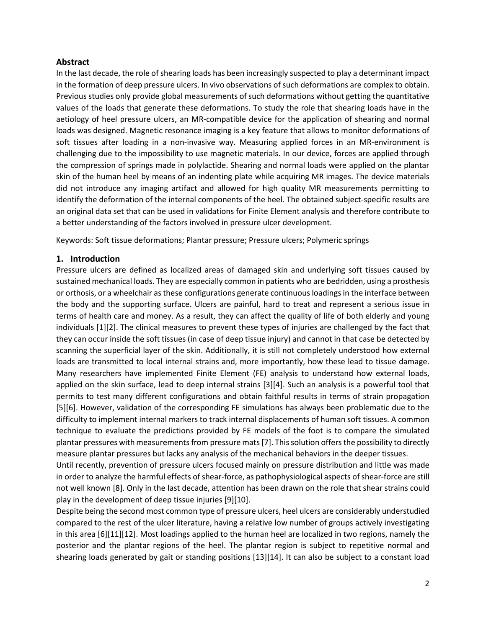#### **Abstract**

In the last decade, the role of shearing loads has been increasingly suspected to play a determinant impact in the formation of deep pressure ulcers. In vivo observations of such deformations are complex to obtain. Previous studies only provide global measurements of such deformations without getting the quantitative values of the loads that generate these deformations. To study the role that shearing loads have in the aetiology of heel pressure ulcers, an MR-compatible device for the application of shearing and normal loads was designed. Magnetic resonance imaging is a key feature that allows to monitor deformations of soft tissues after loading in a non-invasive way. Measuring applied forces in an MR-environment is challenging due to the impossibility to use magnetic materials. In our device, forces are applied through the compression of springs made in polylactide. Shearing and normal loads were applied on the plantar skin of the human heel by means of an indenting plate while acquiring MR images. The device materials did not introduce any imaging artifact and allowed for high quality MR measurements permitting to identify the deformation of the internal components of the heel. The obtained subject-specific results are an original data set that can be used in validations for Finite Element analysis and therefore contribute to a better understanding of the factors involved in pressure ulcer development.

Keywords: Soft tissue deformations; Plantar pressure; Pressure ulcers; Polymeric springs

#### **1. Introduction**

Pressure ulcers are defined as localized areas of damaged skin and underlying soft tissues caused by sustained mechanical loads. They are especially common in patients who are bedridden, using a prosthesis or orthosis, or a wheelchair as these configurations generate continuous loadings in the interface between the body and the supporting surface. Ulcers are painful, hard to treat and represent a serious issue in terms of health care and money. As a result, they can affect the quality of life of both elderly and young individuals [1][2]. The clinical measures to prevent these types of injuries are challenged by the fact that they can occur inside the soft tissues (in case of deep tissue injury) and cannot in that case be detected by scanning the superficial layer of the skin. Additionally, it is still not completely understood how external loads are transmitted to local internal strains and, more importantly, how these lead to tissue damage. Many researchers have implemented Finite Element (FE) analysis to understand how external loads, applied on the skin surface, lead to deep internal strains [3][4]. Such an analysis is a powerful tool that permits to test many different configurations and obtain faithful results in terms of strain propagation [5][6]. However, validation of the corresponding FE simulations has always been problematic due to the difficulty to implement internal markers to track internal displacements of human soft tissues. A common technique to evaluate the predictions provided by FE models of the foot is to compare the simulated plantar pressures with measurements from pressure mats [7]. This solution offersthe possibility to directly measure plantar pressures but lacks any analysis of the mechanical behaviors in the deeper tissues.

Until recently, prevention of pressure ulcers focused mainly on pressure distribution and little was made in order to analyze the harmful effects of shear-force, as pathophysiological aspects of shear-force are still not well known [8]. Only in the last decade, attention has been drawn on the role that shear strains could play in the development of deep tissue injuries [9][10].

Despite being the second most common type of pressure ulcers, heel ulcers are considerably understudied compared to the rest of the ulcer literature, having a relative low number of groups actively investigating in this area [6][11][12]. Most loadings applied to the human heel are localized in two regions, namely the posterior and the plantar regions of the heel. The plantar region is subject to repetitive normal and shearing loads generated by gait or standing positions [13][14]. It can also be subject to a constant load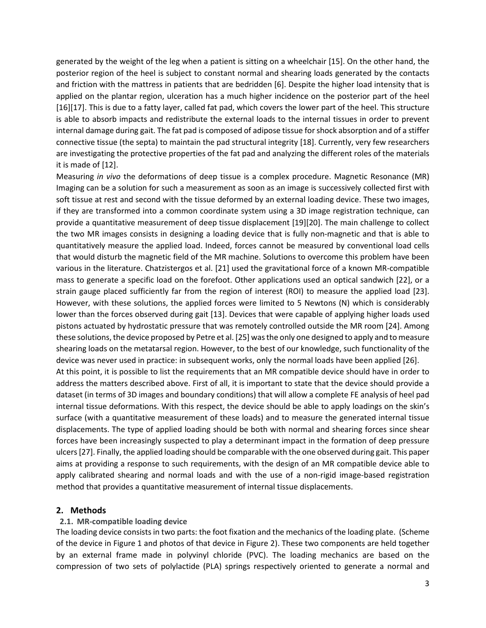generated by the weight of the leg when a patient is sitting on a wheelchair [15]. On the other hand, the posterior region of the heel is subject to constant normal and shearing loads generated by the contacts and friction with the mattress in patients that are bedridden [6]. Despite the higher load intensity that is applied on the plantar region, ulceration has a much higher incidence on the posterior part of the heel [16][17]. This is due to a fatty layer, called fat pad, which covers the lower part of the heel. This structure is able to absorb impacts and redistribute the external loads to the internal tissues in order to prevent internal damage during gait. The fat pad is composed of adipose tissue for shock absorption and of a stiffer connective tissue (the septa) to maintain the pad structural integrity [18]. Currently, very few researchers are investigating the protective properties of the fat pad and analyzing the different roles of the materials it is made of [12].

Measuring *in vivo* the deformations of deep tissue is a complex procedure. Magnetic Resonance (MR) Imaging can be a solution for such a measurement as soon as an image is successively collected first with soft tissue at rest and second with the tissue deformed by an external loading device. These two images, if they are transformed into a common coordinate system using a 3D image registration technique, can provide a quantitative measurement of deep tissue displacement [19][20]. The main challenge to collect the two MR images consists in designing a loading device that is fully non-magnetic and that is able to quantitatively measure the applied load. Indeed, forces cannot be measured by conventional load cells that would disturb the magnetic field of the MR machine. Solutions to overcome this problem have been various in the literature. Chatzistergos et al. [21] used the gravitational force of a known MR-compatible mass to generate a specific load on the forefoot. Other applications used an optical sandwich [22], or a strain gauge placed sufficiently far from the region of interest (ROI) to measure the applied load [23]. However, with these solutions, the applied forces were limited to 5 Newtons (N) which is considerably lower than the forces observed during gait [13]. Devices that were capable of applying higher loads used pistons actuated by hydrostatic pressure that was remotely controlled outside the MR room [24]. Among these solutions, the device proposed by Petre et al. [25] was the only one designed to apply and to measure shearing loads on the metatarsal region. However, to the best of our knowledge, such functionality of the device was never used in practice: in subsequent works, only the normal loads have been applied [26].

At this point, it is possible to list the requirements that an MR compatible device should have in order to address the matters described above. First of all, it is important to state that the device should provide a dataset (in terms of 3D images and boundary conditions) that will allow a complete FE analysis of heel pad internal tissue deformations. With this respect, the device should be able to apply loadings on the skin's surface (with a quantitative measurement of these loads) and to measure the generated internal tissue displacements. The type of applied loading should be both with normal and shearing forces since shear forces have been increasingly suspected to play a determinant impact in the formation of deep pressure ulcers [27]. Finally, the applied loading should be comparable with the one observed during gait. This paper aims at providing a response to such requirements, with the design of an MR compatible device able to apply calibrated shearing and normal loads and with the use of a non-rigid image-based registration method that provides a quantitative measurement of internal tissue displacements.

## **2. Methods**

#### **2.1. MR-compatible loading device**

The loading device consists in two parts: the foot fixation and the mechanics of the loading plate. (Scheme of the device in [Figure](#page-4-0) 1 and photos of that device in Figure 2). These two components are held together by an external frame made in polyvinyl chloride (PVC). The loading mechanics are based on the compression of two sets of polylactide (PLA) springs respectively oriented to generate a normal and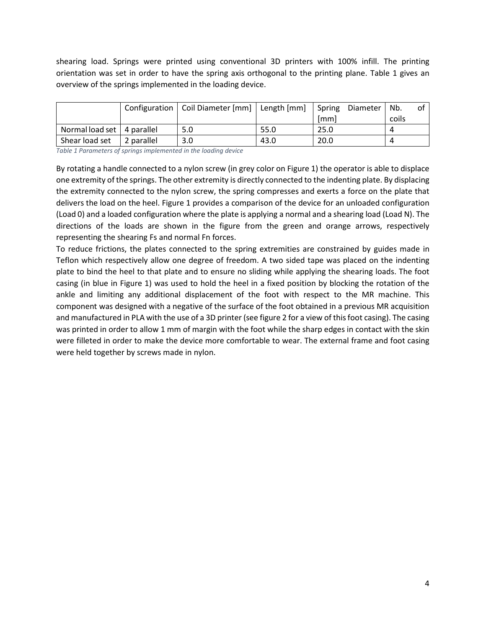shearing load. Springs were printed using conventional 3D printers with 100% infill. The printing orientation was set in order to have the spring axis orthogonal to the printing plane. [Table 1](#page-3-0) gives an overview of the springs implemented in the loading device.

|                              |            | Configuration   Coil Diameter [mm]   Length [mm] |      | Spring<br>Diameter | Nb.   | ot |
|------------------------------|------------|--------------------------------------------------|------|--------------------|-------|----|
|                              |            |                                                  |      | [mm]               | coils |    |
| Normal load set   4 parallel |            | 5.0                                              | 55.0 | 25.0               |       |    |
| Shear load set               | 2 parallel | 3.0                                              | 43.0 | 20.0               |       |    |

<span id="page-3-0"></span>*Table 1 Parameters of springs implemented in the loading device*

By rotating a handle connected to a nylon screw (in grey color on [Figure 1\)](#page-4-0) the operator is able to displace one extremity of the springs. The other extremity is directly connected to the indenting plate. By displacing the extremity connected to the nylon screw, the spring compresses and exerts a force on the plate that delivers the load on the heel. [Figure 1](#page-4-0) provides a comparison of the device for an unloaded configuration (Load 0) and a loaded configuration where the plate is applying a normal and a shearing load (Load N). The directions of the loads are shown in the figure from the green and orange arrows, respectively representing the shearing Fs and normal Fn forces.

To reduce frictions, the plates connected to the spring extremities are constrained by guides made in Teflon which respectively allow one degree of freedom. A two sided tape was placed on the indenting plate to bind the heel to that plate and to ensure no sliding while applying the shearing loads. The foot casing (in blue in [Figure 1\)](#page-4-0) was used to hold the heel in a fixed position by blocking the rotation of the ankle and limiting any additional displacement of the foot with respect to the MR machine. This component was designed with a negative of the surface of the foot obtained in a previous MR acquisition and manufactured in PLA with the use of a 3D printer (see figure 2 for a view of this foot casing). The casing was printed in order to allow 1 mm of margin with the foot while the sharp edges in contact with the skin were filleted in order to make the device more comfortable to wear. The external frame and foot casing were held together by screws made in nylon.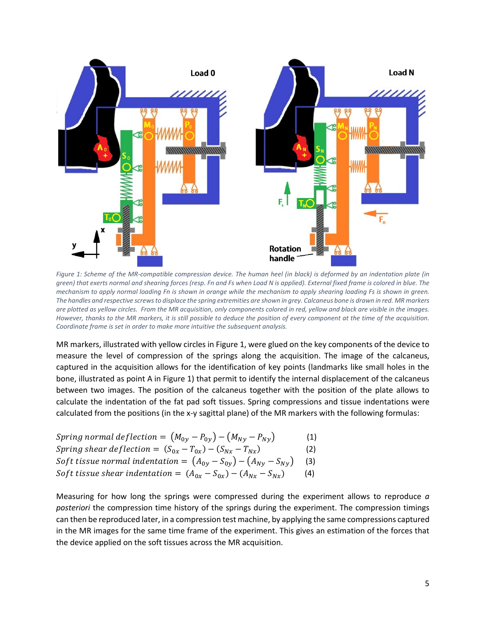

<span id="page-4-0"></span>*Figure 1: Scheme of the MR-compatible compression device. The human heel (in black) is deformed by an indentation plate (in green) that exerts normal and shearing forces (resp. Fn and Fs when Load N is applied). External fixed frame is colored in blue. The mechanism to apply normal loading Fn is shown in orange while the mechanism to apply shearing loading Fs is shown in green. The handles and respective screws to displace the spring extremities are shown in grey. Calcaneus bone is drawn in red. MR markers are plotted as yellow circles. From the MR acquisition, only components colored in red, yellow and black are visible in the images. However, thanks to the MR markers, it is still possible to deduce the position of every component at the time of the acquisition. Coordinate frame is set in order to make more intuitive the subsequent analysis.*

MR markers, illustrated with yellow circles in [Figure 1, w](#page-4-0)ere glued on the key components of the device to measure the level of compression of the springs along the acquisition. The image of the calcaneus, captured in the acquisition allows for the identification of key points (landmarks like small holes in the bone, illustrated as point A in Figure 1) that permit to identify the internal displacement of the calcaneus between two images. The position of the calcaneus together with the position of the plate allows to calculate the indentation of the fat pad soft tissues. Spring compressions and tissue indentations were calculated from the positions (in the x-y sagittal plane) of the MR markers with the following formulas:

| Spring normal deflection = $(M_{0v} - P_{0v}) - (M_{Nv} - P_{Nv})$       | (1) |
|--------------------------------------------------------------------------|-----|
| Spring shear deflection = $(S_{0x} - T_{0x}) - (S_{Nx} - T_{Nx})$        | (2) |
| Soft tissue normal indentation = $(A_{0v} - S_{0v}) - (A_{Nv} - S_{Nv})$ | (3) |
| Soft tissue shear indentation = $(A_{0x} - S_{0x}) - (A_{Nx} - S_{Nx})$  | (4) |

Measuring for how long the springs were compressed during the experiment allows to reproduce *a posteriori* the compression time history of the springs during the experiment. The compression timings can then be reproduced later, in a compression test machine, by applying the same compressions captured in the MR images for the same time frame of the experiment. This gives an estimation of the forces that the device applied on the soft tissues across the MR acquisition.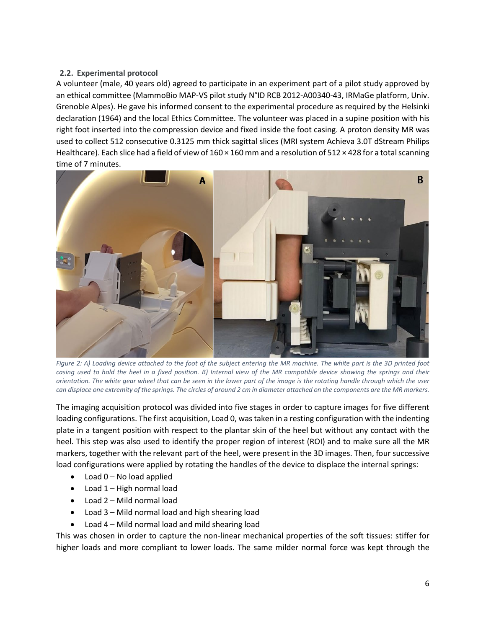## **2.2. Experimental protocol**

A volunteer (male, 40 years old) agreed to participate in an experiment part of a pilot study approved by an ethical committee (MammoBio MAP-VS pilot study N°ID RCB 2012-A00340-43, IRMaGe platform, Univ. Grenoble Alpes). He gave his informed consent to the experimental procedure as required by the Helsinki declaration (1964) and the local Ethics Committee. The volunteer was placed in a supine position with his right foot inserted into the compression device and fixed inside the foot casing. A proton density MR was used to collect 512 consecutive 0.3125 mm thick sagittal slices (MRI system Achieva 3.0T dStream Philips Healthcare). Each slice had a field of view of  $160 \times 160$  mm and a resolution of  $512 \times 428$  for a total scanning time of 7 minutes.



*Figure 2: A) Loading device attached to the foot of the subject entering the MR machine. The white part is the 3D printed foot casing used to hold the heel in a fixed position. B) Internal view of the MR compatible device showing the springs and their orientation. The white gear wheel that can be seen in the lower part of the image is the rotating handle through which the user can displace one extremity of the springs. The circles of around 2 cm in diameter attached on the components are the MR markers.*

The imaging acquisition protocol was divided into five stages in order to capture images for five different loading configurations. The first acquisition, Load 0, was taken in a resting configuration with the indenting plate in a tangent position with respect to the plantar skin of the heel but without any contact with the heel. This step was also used to identify the proper region of interest (ROI) and to make sure all the MR markers, together with the relevant part of the heel, were present in the 3D images. Then, four successive load configurations were applied by rotating the handles of the device to displace the internal springs:

- Load 0 No load applied
- Load 1 High normal load
- Load 2 Mild normal load
- Load 3 Mild normal load and high shearing load
- Load 4 Mild normal load and mild shearing load

This was chosen in order to capture the non-linear mechanical properties of the soft tissues: stiffer for higher loads and more compliant to lower loads. The same milder normal force was kept through the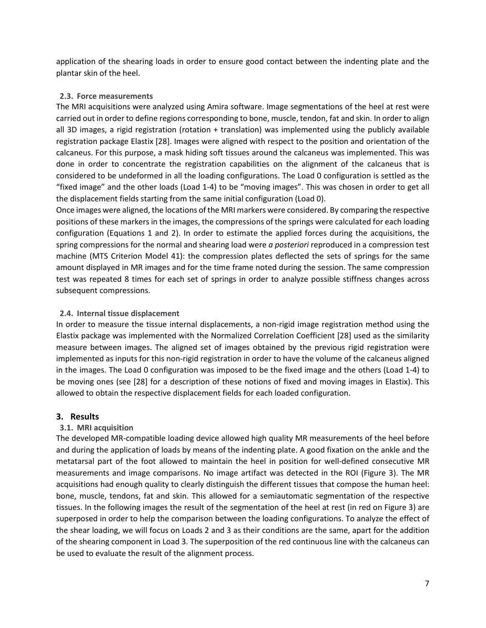application of the shearing loads in order to ensure good contact between the indenting plate and the plantar skin of the heel.

## **2.3. Force measurements**

The MRI acquisitions were analyzed using Amira software. Image segmentations of the heel at rest were carried out in order to define regions corresponding to bone, muscle, tendon, fat and skin. In order to align all 3D images, a rigid registration (rotation + translation) was implemented using the publicly available registration package Elastix [28]. Images were aligned with respect to the position and orientation of the calcaneus. For this purpose, a mask hiding soft tissues around the calcaneus was implemented. This was done in order to concentrate the registration capabilities on the alignment of the calcaneus that is considered to be undeformed in all the loading configurations. The Load 0 configuration is settled as the "fixed image" and the other loads (Load 1-4) to be "moving images". This was chosen in order to get all the displacement fields starting from the same initial configuration (Load 0).

Once images were aligned, the locations of the MRI markers were considered. By comparing the respective positions of these markers in the images, the compressions of the springs were calculated for each loading configuration (Equations 1 and 2). In order to estimate the applied forces during the acquisitions, the spring compressions for the normal and shearing load were *a posteriori* reproduced in a compression test machine (MTS Criterion Model 41): the compression plates deflected the sets of springs for the same amount displayed in MR images and for the time frame noted during the session. The same compression test was repeated 8 times for each set of springs in order to analyze possible stiffness changes across subsequent compressions.

#### **2.4. Internal tissue displacement**

In order to measure the tissue internal displacements, a non-rigid image registration method using the Elastix package was implemented with the Normalized Correlation Coefficient [28] used as the similarity measure between images. The aligned set of images obtained by the previous rigid registration were implemented as inputs for this non-rigid registration in order to have the volume of the calcaneus aligned in the images. The Load 0 configuration was imposed to be the fixed image and the others (Load 1-4) to be moving ones (see [28] for a description of these notions of fixed and moving images in Elastix). This allowed to obtain the respective displacement fields for each loaded configuration.

## **3. Results**

## **3.1. MRI acquisition**

The developed MR-compatible loading device allowed high quality MR measurements of the heel before and during the application of loads by means of the indenting plate. A good fixation on the ankle and the metatarsal part of the foot allowed to maintain the heel in position for well-defined consecutive MR measurements and image comparisons. No image artifact was detected in the ROI [\(Figure 3\)](#page-7-0). The MR acquisitions had enough quality to clearly distinguish the different tissues that compose the human heel: bone, muscle, tendons, fat and skin. This allowed for a semiautomatic segmentation of the respective tissues. In the following images the result of the segmentation of the heel at rest (in red on Figure 3) are superposed in order to help the comparison between the loading configurations. To analyze the effect of the shear loading, we will focus on Loads 2 and 3 as their conditions are the same, apart for the addition of the shearing component in Load 3. The superposition of the red continuous line with the calcaneus can be used to evaluate the result of the alignment process.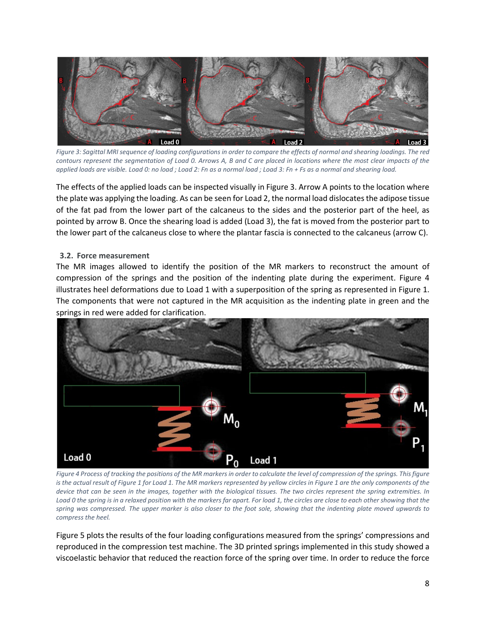

*Figure 3: Sagittal MRI sequence of loading configurations in order to compare the effects of normal and shearing loadings. The red contours represent the segmentation of Load 0. Arrows A, B and C are placed in locations where the most clear impacts of the applied loads are visible. Load 0: no load ; Load 2: Fn as a normal load ; Load 3: Fn + Fs as a normal and shearing load.*

<span id="page-7-0"></span>The effects of the applied loads can be inspected visually in Figure 3. Arrow A points to the location where the plate was applying the loading. As can be seen for Load 2, the normal load dislocatesthe adipose tissue of the fat pad from the lower part of the calcaneus to the sides and the posterior part of the heel, as pointed by arrow B. Once the shearing load is added (Load 3), the fat is moved from the posterior part to the lower part of the calcaneus close to where the plantar fascia is connected to the calcaneus (arrow C).

#### **3.2. Force measurement**

The MR images allowed to identify the position of the MR markers to reconstruct the amount of compression of the springs and the position of the indenting plate during the experiment. [Figure 4](#page-7-1) illustrates heel deformations due to Load 1 with a superposition of the spring as represented in [Figure 1.](#page-4-0) The components that were not captured in the MR acquisition as the indenting plate in green and the springs in red were added for clarification.



*Figure 4 Process of tracking the positions of the MR markers in order to calculate the level of compression of the springs. This figure is the actual result of Figure 1 for Load 1. The MR markers represented by yellow circles in Figure 1 are the only components of the device that can be seen in the images, together with the biological tissues. The two circles represent the spring extremities. In Load 0 the spring is in a relaxed position with the markers far apart. For load 1, the circles are close to each other showing that the spring was compressed. The upper marker is also closer to the foot sole, showing that the indenting plate moved upwards to compress the heel.*

<span id="page-7-1"></span>[Figure 5](#page-8-0) plots the results of the four loading configurations measured from the springs' compressions and reproduced in the compression test machine. The 3D printed springs implemented in this study showed a viscoelastic behavior that reduced the reaction force of the spring over time. In order to reduce the force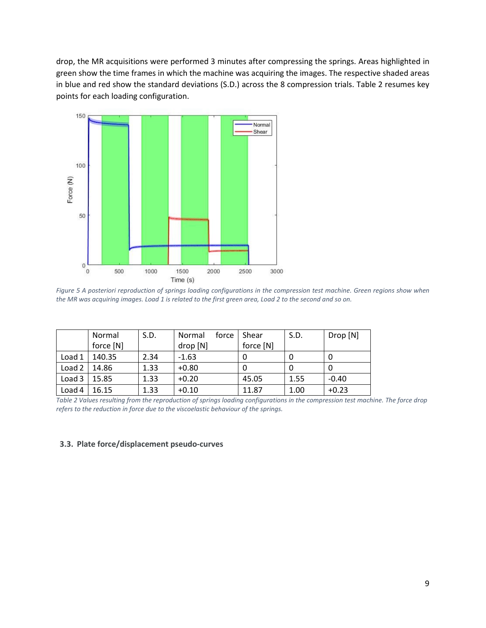drop, the MR acquisitions were performed 3 minutes after compressing the springs. Areas highlighted in green show the time frames in which the machine was acquiring the images. The respective shaded areas in blue and red show the standard deviations (S.D.) across the 8 compression trials. [Table 2](#page-8-1) resumes key points for each loading configuration.



<span id="page-8-0"></span>*Figure 5 A posteriori reproduction of springs loading configurations in the compression test machine. Green regions show when the MR was acquiring images. Load 1 is related to the first green area, Load 2 to the second and so on.*

|                   | Normal<br>force [N] | S.D. | force<br>Normal<br>drop [N] | Shear<br>force [N] | S.D. | Drop [N] |
|-------------------|---------------------|------|-----------------------------|--------------------|------|----------|
| Load 1            | 140.35              | 2.34 | $-1.63$                     |                    |      | O        |
| Load <sub>2</sub> | 14.86               | 1.33 | $+0.80$                     |                    |      |          |
| Load 3            | 15.85               | 1.33 | $+0.20$                     | 45.05              | 1.55 | $-0.40$  |
| Load 4            | 16.15               | 1.33 | $+0.10$                     | 11.87              | 1.00 | $+0.23$  |

<span id="page-8-1"></span>*Table 2 Values resulting from the reproduction of springs loading configurations in the compression test machine. The force drop refers to the reduction in force due to the viscoelastic behaviour of the springs.*

#### **3.3. Plate force/displacement pseudo-curves**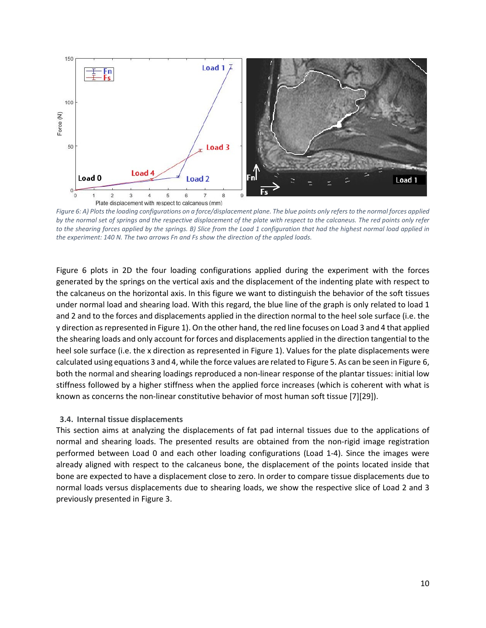

<span id="page-9-0"></span>*Figure 6: A) Plots the loading configurations on a force/displacement plane. The blue points only refers to the normal forces applied by the normal set of springs and the respective displacement of the plate with respect to the calcaneus. The red points only refer to the shearing forces applied by the springs. B) Slice from the Load 1 configuration that had the highest normal load applied in the experiment: 140 N. The two arrows Fn and Fs show the direction of the appled loads.*

[Figure 6](#page-9-0) plots in 2D the four loading configurations applied during the experiment with the forces generated by the springs on the vertical axis and the displacement of the indenting plate with respect to the calcaneus on the horizontal axis. In this figure we want to distinguish the behavior of the soft tissues under normal load and shearing load. With this regard, the blue line of the graph is only related to load 1 and 2 and to the forces and displacements applied in the direction normal to the heel sole surface (i.e. the y direction as represented in Figure 1). On the other hand, the red line focuses on Load 3 and 4 that applied the shearing loads and only account for forces and displacements applied in the direction tangential to the heel sole surface (i.e. the x direction as represented in Figure 1). Values for the plate displacements were calculated using equations 3 and 4, while the force values are related t[o Figure 5.](#page-8-0) As can be seen in Figure 6, both the normal and shearing loadings reproduced a non-linear response of the plantar tissues: initial low stiffness followed by a higher stiffness when the applied force increases (which is coherent with what is known as concerns the non-linear constitutive behavior of most human soft tissue [7][29]).

#### **3.4. Internal tissue displacements**

This section aims at analyzing the displacements of fat pad internal tissues due to the applications of normal and shearing loads. The presented results are obtained from the non-rigid image registration performed between Load 0 and each other loading configurations (Load 1-4). Since the images were already aligned with respect to the calcaneus bone, the displacement of the points located inside that bone are expected to have a displacement close to zero. In order to compare tissue displacements due to normal loads versus displacements due to shearing loads, we show the respective slice of Load 2 and 3 previously presented in [Figure 3.](#page-7-0)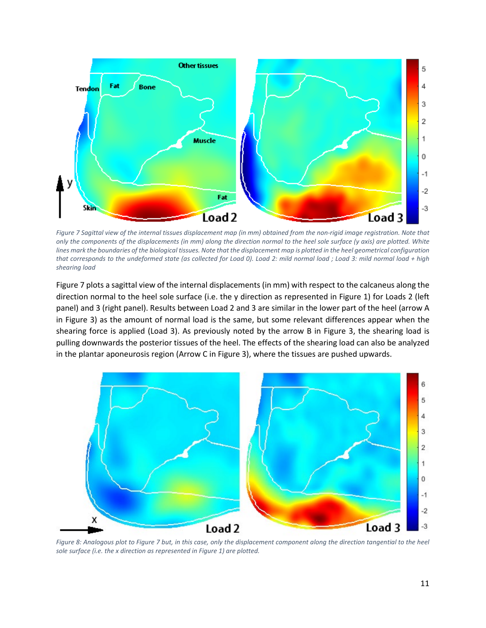

<span id="page-10-0"></span>*Figure 7 Sagittal view of the internal tissues displacement map (in mm) obtained from the non-rigid image registration. Note that only the components of the displacements (in mm) along the direction normal to the heel sole surface (y axis) are plotted. White lines mark the boundaries of the biological tissues. Note that the displacement map is plotted in the heel geometrical configuration that corresponds to the undeformed state (as collected for Load 0). Load 2: mild normal load ; Load 3: mild normal load + high shearing load* 

[Figure 7](#page-10-0) plots a sagittal view of the internal displacements (in mm) with respect to the calcaneus along the direction normal to the heel sole surface (i.e. the y direction as represented in Figure 1) for Loads 2 (left panel) and 3 (right panel). Results between Load 2 and 3 are similar in the lower part of the heel (arrow A in Figure 3) as the amount of normal load is the same, but some relevant differences appear when the shearing force is applied (Load 3). As previously noted by the arrow B in [Figure 3, t](#page-7-0)he shearing load is pulling downwards the posterior tissues of the heel. The effects of the shearing load can also be analyzed in the plantar aponeurosis region (Arrow C in Figure 3), where the tissues are pushed upwards.



<span id="page-10-1"></span>*Figure 8: Analogous plot to Figure 7 but, in this case, only the displacement component along the direction tangential to the heel sole surface (i.e. the x direction as represented in Figure 1) are plotted.*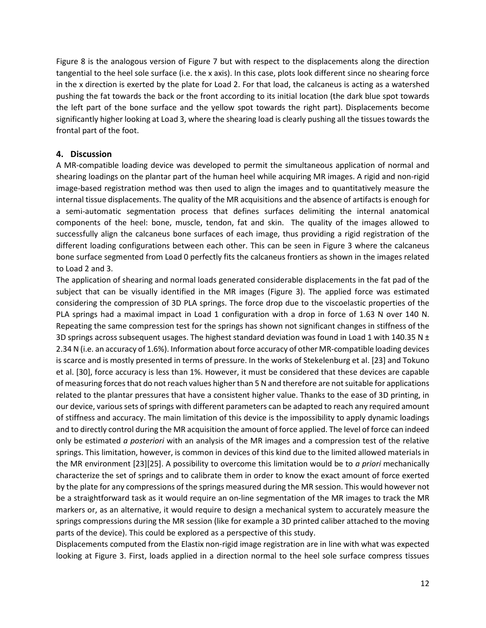[Figure 8](#page-10-1) is the analogous version of [Figure 7](#page-10-0) but with respect to the displacements along the direction tangential to the heel sole surface (i.e. the x axis). In this case, plots look different since no shearing force in the x direction is exerted by the plate for Load 2. For that load, the calcaneus is acting as a watershed pushing the fat towards the back or the front according to its initial location (the dark blue spot towards the left part of the bone surface and the yellow spot towards the right part). Displacements become significantly higher looking at Load 3, where the shearing load is clearly pushing all the tissues towards the frontal part of the foot.

#### **4. Discussion**

A MR-compatible loading device was developed to permit the simultaneous application of normal and shearing loadings on the plantar part of the human heel while acquiring MR images. A rigid and non-rigid image-based registration method was then used to align the images and to quantitatively measure the internal tissue displacements. The quality of the MR acquisitions and the absence of artifacts is enough for a semi-automatic segmentation process that defines surfaces delimiting the internal anatomical components of the heel: bone, muscle, tendon, fat and skin. The quality of the images allowed to successfully align the calcaneus bone surfaces of each image, thus providing a rigid registration of the different loading configurations between each other. This can be seen in [Figure 3 where](#page-7-0) the calcaneus bone surface segmented from Load 0 perfectly fits the calcaneus frontiers as shown in the images related to Load 2 and 3.

The application of shearing and normal loads generated considerable displacements in the fat pad of the subject that can be visually identified in the MR images [\(Figure 3\)](#page-7-0). The applied force was estimated considering the compression of 3D PLA springs. The force drop due to the viscoelastic properties of the PLA springs had a maximal impact in Load 1 configuration with a drop in force of 1.63 N over 140 N. Repeating the same compression test for the springs has shown not significant changes in stiffness of the 3D springs across subsequent usages. The highest standard deviation was found in Load 1 with 140.35 N  $\pm$ 2.34 N (i.e. an accuracy of 1.6%). Information about force accuracy of other MR-compatible loading devices is scarce and is mostly presented in terms of pressure. In the works of Stekelenburg et al. [23] and Tokuno et al. [30], force accuracy is less than 1%. However, it must be considered that these devices are capable of measuring forces that do not reach values higher than 5 N and therefore are not suitable for applications related to the plantar pressures that have a consistent higher value. Thanks to the ease of 3D printing, in our device, varioussets of springs with different parameters can be adapted to reach any required amount of stiffness and accuracy. The main limitation of this device is the impossibility to apply dynamic loadings and to directly control during the MR acquisition the amount of force applied. The level of force can indeed only be estimated *a posteriori* with an analysis of the MR images and a compression test of the relative springs. This limitation, however, is common in devices of this kind due to the limited allowed materials in the MR environment [23][25]. A possibility to overcome this limitation would be to *a priori* mechanically characterize the set of springs and to calibrate them in order to know the exact amount of force exerted by the plate for any compressions of the springs measured during the MR session. This would however not be a straightforward task as it would require an on-line segmentation of the MR images to track the MR markers or, as an alternative, it would require to design a mechanical system to accurately measure the springs compressions during the MR session (like for example a 3D printed caliber attached to the moving parts of the device). This could be explored as a perspective of this study.

Displacements computed from the Elastix non-rigid image registration are in line with what was expected looking at Figure 3. First, loads applied in a direction normal to the heel sole surface compress tissues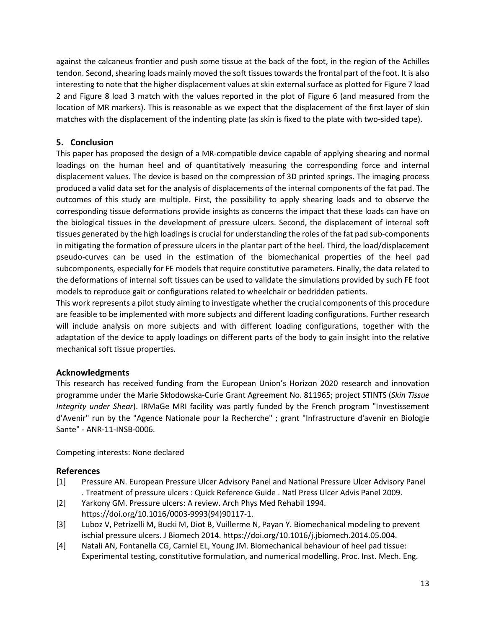against the calcaneus frontier and push some tissue at the back of the foot, in the region of the Achilles tendon. Second, shearing loads mainly moved the soft tissues towards the frontal part of the foot. It is also interesting to note that the higher displacement values at skin external surface as plotted for Figure 7 load 2 and Figure 8 load 3 match with the values reported in the plot of Figure 6 (and measured from the location of MR markers). This is reasonable as we expect that the displacement of the first layer of skin matches with the displacement of the indenting plate (as skin is fixed to the plate with two-sided tape).

## **5. Conclusion**

This paper has proposed the design of a MR-compatible device capable of applying shearing and normal loadings on the human heel and of quantitatively measuring the corresponding force and internal displacement values. The device is based on the compression of 3D printed springs. The imaging process produced a valid data set for the analysis of displacements of the internal components of the fat pad. The outcomes of this study are multiple. First, the possibility to apply shearing loads and to observe the corresponding tissue deformations provide insights as concerns the impact that these loads can have on the biological tissues in the development of pressure ulcers. Second, the displacement of internal soft tissues generated by the high loadings is crucial for understanding the roles of the fat pad sub-components in mitigating the formation of pressure ulcers in the plantar part of the heel. Third, the load/displacement pseudo-curves can be used in the estimation of the biomechanical properties of the heel pad subcomponents, especially for FE models that require constitutive parameters. Finally, the data related to the deformations of internal soft tissues can be used to validate the simulations provided by such FE foot models to reproduce gait or configurations related to wheelchair or bedridden patients.

This work represents a pilot study aiming to investigate whether the crucial components of this procedure are feasible to be implemented with more subjects and different loading configurations. Further research will include analysis on more subjects and with different loading configurations, together with the adaptation of the device to apply loadings on different parts of the body to gain insight into the relative mechanical soft tissue properties.

# **Acknowledgments**

This research has received funding from the European Union's Horizon 2020 research and innovation programme under the Marie Skłodowska-Curie Grant Agreement No. 811965; project STINTS (*Skin Tissue Integrity under Shear*). IRMaGe MRI facility was partly funded by the French program "Investissement d'Avenir" run by the "Agence Nationale pour la Recherche" ; grant "Infrastructure d'avenir en Biologie Sante" - ANR-11-INSB-0006.

Competing interests: None declared

# **References**

- [1] Pressure AN. European Pressure Ulcer Advisory Panel and National Pressure Ulcer Advisory Panel . Treatment of pressure ulcers : Quick Reference Guide . Natl Press Ulcer Advis Panel 2009.
- [2] Yarkony GM. Pressure ulcers: A review. Arch Phys Med Rehabil 1994. https://doi.org/10.1016/0003-9993(94)90117-1.
- [3] Luboz V, Petrizelli M, Bucki M, Diot B, Vuillerme N, Payan Y. Biomechanical modeling to prevent ischial pressure ulcers. J Biomech 2014. https://doi.org/10.1016/j.jbiomech.2014.05.004.
- [4] Natali AN, Fontanella CG, Carniel EL, Young JM. Biomechanical behaviour of heel pad tissue: Experimental testing, constitutive formulation, and numerical modelling. Proc. Inst. Mech. Eng.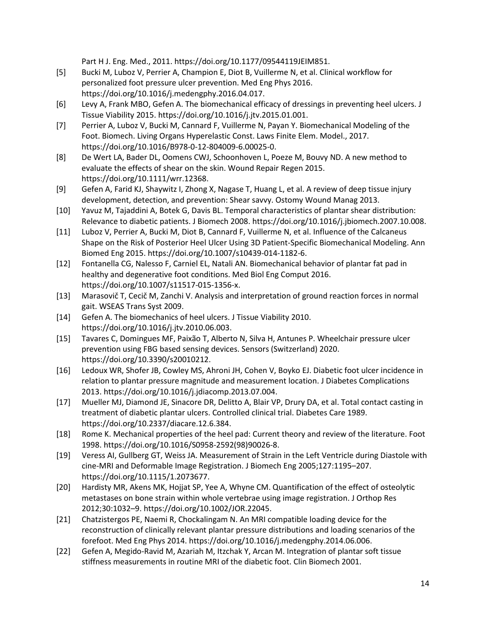Part H J. Eng. Med., 2011. https://doi.org/10.1177/09544119JEIM851.

- [5] Bucki M, Luboz V, Perrier A, Champion E, Diot B, Vuillerme N, et al. Clinical workflow for personalized foot pressure ulcer prevention. Med Eng Phys 2016. https://doi.org/10.1016/j.medengphy.2016.04.017.
- [6] Levy A, Frank MBO, Gefen A. The biomechanical efficacy of dressings in preventing heel ulcers. J Tissue Viability 2015. https://doi.org/10.1016/j.jtv.2015.01.001.
- [7] Perrier A, Luboz V, Bucki M, Cannard F, Vuillerme N, Payan Y. Biomechanical Modeling of the Foot. Biomech. Living Organs Hyperelastic Const. Laws Finite Elem. Model., 2017. https://doi.org/10.1016/B978-0-12-804009-6.00025-0.
- [8] De Wert LA, Bader DL, Oomens CWJ, Schoonhoven L, Poeze M, Bouvy ND. A new method to evaluate the effects of shear on the skin. Wound Repair Regen 2015. https://doi.org/10.1111/wrr.12368.
- [9] Gefen A, Farid KJ, Shaywitz I, Zhong X, Nagase T, Huang L, et al. A review of deep tissue injury development, detection, and prevention: Shear savvy. Ostomy Wound Manag 2013.
- [10] Yavuz M, Tajaddini A, Botek G, Davis BL. Temporal characteristics of plantar shear distribution: Relevance to diabetic patients. J Biomech 2008. https://doi.org/10.1016/j.jbiomech.2007.10.008.
- [11] Luboz V, Perrier A, Bucki M, Diot B, Cannard F, Vuillerme N, et al. Influence of the Calcaneus Shape on the Risk of Posterior Heel Ulcer Using 3D Patient-Specific Biomechanical Modeling. Ann Biomed Eng 2015. https://doi.org/10.1007/s10439-014-1182-6.
- [12] Fontanella CG, Nalesso F, Carniel EL, Natali AN. Biomechanical behavior of plantar fat pad in healthy and degenerative foot conditions. Med Biol Eng Comput 2016. https://doi.org/10.1007/s11517-015-1356-x.
- [13] Marasovič T, Cecič M, Zanchi V. Analysis and interpretation of ground reaction forces in normal gait. WSEAS Trans Syst 2009.
- [14] Gefen A. The biomechanics of heel ulcers. J Tissue Viability 2010. https://doi.org/10.1016/j.jtv.2010.06.003.
- [15] Tavares C, Domingues MF, Paixão T, Alberto N, Silva H, Antunes P. Wheelchair pressure ulcer prevention using FBG based sensing devices. Sensors (Switzerland) 2020. https://doi.org/10.3390/s20010212.
- [16] Ledoux WR, Shofer JB, Cowley MS, Ahroni JH, Cohen V, Boyko EJ. Diabetic foot ulcer incidence in relation to plantar pressure magnitude and measurement location. J Diabetes Complications 2013. https://doi.org/10.1016/j.jdiacomp.2013.07.004.
- [17] Mueller MJ, Diamond JE, Sinacore DR, Delitto A, Blair VP, Drury DA, et al. Total contact casting in treatment of diabetic plantar ulcers. Controlled clinical trial. Diabetes Care 1989. https://doi.org/10.2337/diacare.12.6.384.
- [18] Rome K. Mechanical properties of the heel pad: Current theory and review of the literature. Foot 1998. https://doi.org/10.1016/S0958-2592(98)90026-8.
- [19] Veress AI, Gullberg GT, Weiss JA. Measurement of Strain in the Left Ventricle during Diastole with cine-MRI and Deformable Image Registration. J Biomech Eng 2005;127:1195–207. https://doi.org/10.1115/1.2073677.
- [20] Hardisty MR, Akens MK, Hojjat SP, Yee A, Whyne CM. Quantification of the effect of osteolytic metastases on bone strain within whole vertebrae using image registration. J Orthop Res 2012;30:1032–9. https://doi.org/10.1002/JOR.22045.
- [21] Chatzistergos PE, Naemi R, Chockalingam N. An MRI compatible loading device for the reconstruction of clinically relevant plantar pressure distributions and loading scenarios of the forefoot. Med Eng Phys 2014. https://doi.org/10.1016/j.medengphy.2014.06.006.
- [22] Gefen A, Megido-Ravid M, Azariah M, Itzchak Y, Arcan M. Integration of plantar soft tissue stiffness measurements in routine MRI of the diabetic foot. Clin Biomech 2001.